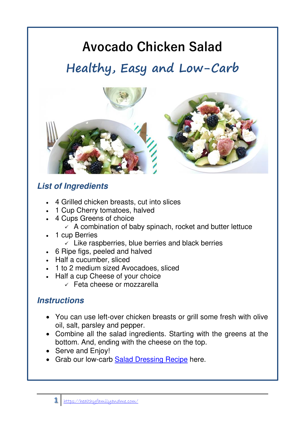# **Avocado Chicken Salad**

# **Healthy, Easy and Low-Carb**



## **List of Ingredients**

- 4 Grilled chicken breasts, cut into slices
- 1 Cup Cherry tomatoes, halved
- 4 Cups Greens of choice
	- $\angle$  A combination of baby spinach, rocket and butter lettuce
- 1 cup Berries
	- $\checkmark$  Like raspberries, blue berries and black berries
- 6 Ripe figs, peeled and halved
- Half a cucumber, sliced
- 1 to 2 medium sized Avocadoes, sliced
- Half a cup Cheese of your choice
	- ✓ Feta cheese or mozzarella

#### **Instructions**

- You can use left-over chicken breasts or grill some fresh with olive oil, salt, parsley and pepper.
- Combine all the salad ingredients. Starting with the greens at the bottom. And, ending with the cheese on the top.
- Serve and Enjoy!
- Grab our low-carb [Salad Dressing Recipe](https://wp.me/p9z3Bk-ru) here.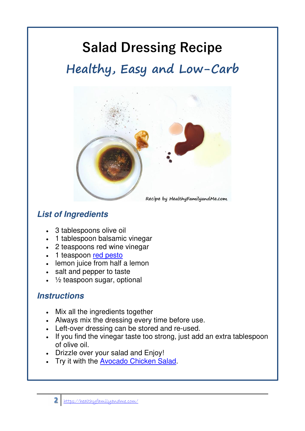# **Salad Dressing Recipe Healthy, Easy and Low-Carb**



### **List of Ingredients**

- 3 tablespoons olive oil
- 1 tablespoon balsamic vinegar
- 2 teaspoons red wine vinegar
- 1 teaspoon [red pesto](https://ketodietapp.com/Blog/lchf/Home-made-Red-Pesto)
- lemon juice from half a lemon
- salt and pepper to taste
- $\cdot$   $\frac{1}{2}$  teaspoon sugar, optional

#### **Instructions**

- Mix all the ingredients together
- Always mix the dressing every time before use.
- Left-over dressing can be stored and re-used.
- If you find the vinegar taste too strong, just add an extra tablespoon of olive oil.
- Drizzle over your salad and Enjoy!
- Try it with the [Avocado Chicken Salad.](https://wp.me/p9z3Bk-ru)